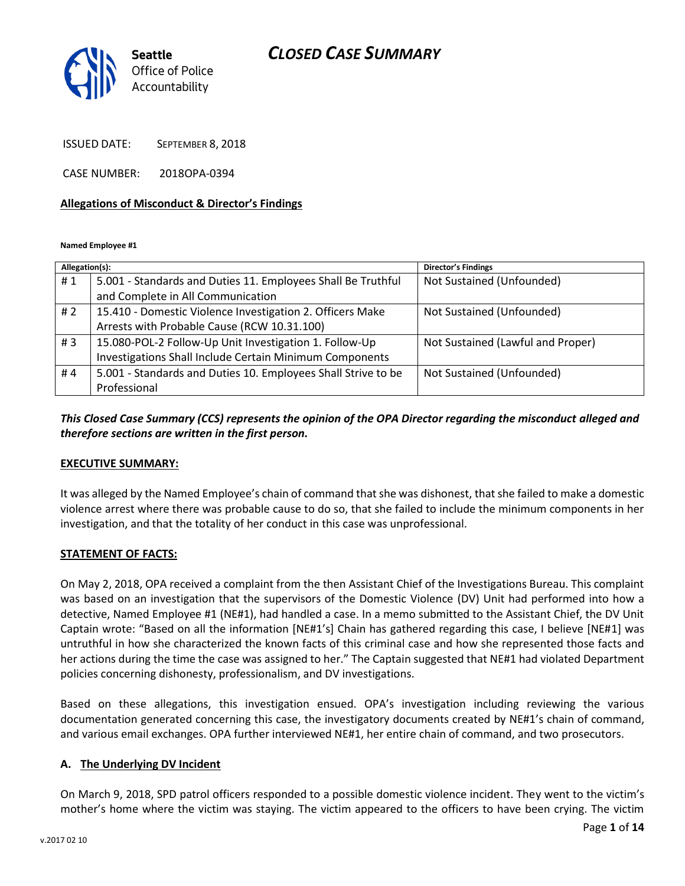

ISSUED DATE: SEPTEMBER 8, 2018

CASE NUMBER: 2018OPA-0394

#### **Allegations of Misconduct & Director's Findings**

**Named Employee #1**

| Allegation(s): |                                                               | <b>Director's Findings</b>        |
|----------------|---------------------------------------------------------------|-----------------------------------|
| #1             | 5.001 - Standards and Duties 11. Employees Shall Be Truthful  | Not Sustained (Unfounded)         |
|                | and Complete in All Communication                             |                                   |
| # $2$          | 15.410 - Domestic Violence Investigation 2. Officers Make     | Not Sustained (Unfounded)         |
|                | Arrests with Probable Cause (RCW 10.31.100)                   |                                   |
| #3             | 15.080-POL-2 Follow-Up Unit Investigation 1. Follow-Up        | Not Sustained (Lawful and Proper) |
|                | Investigations Shall Include Certain Minimum Components       |                                   |
| #4             | 5.001 - Standards and Duties 10. Employees Shall Strive to be | Not Sustained (Unfounded)         |
|                | Professional                                                  |                                   |

## *This Closed Case Summary (CCS) represents the opinion of the OPA Director regarding the misconduct alleged and therefore sections are written in the first person.*

#### **EXECUTIVE SUMMARY:**

It was alleged by the Named Employee's chain of command that she was dishonest, that she failed to make a domestic violence arrest where there was probable cause to do so, that she failed to include the minimum components in her investigation, and that the totality of her conduct in this case was unprofessional.

#### **STATEMENT OF FACTS:**

On May 2, 2018, OPA received a complaint from the then Assistant Chief of the Investigations Bureau. This complaint was based on an investigation that the supervisors of the Domestic Violence (DV) Unit had performed into how a detective, Named Employee #1 (NE#1), had handled a case. In a memo submitted to the Assistant Chief, the DV Unit Captain wrote: "Based on all the information [NE#1's] Chain has gathered regarding this case, I believe [NE#1] was untruthful in how she characterized the known facts of this criminal case and how she represented those facts and her actions during the time the case was assigned to her." The Captain suggested that NE#1 had violated Department policies concerning dishonesty, professionalism, and DV investigations.

Based on these allegations, this investigation ensued. OPA's investigation including reviewing the various documentation generated concerning this case, the investigatory documents created by NE#1's chain of command, and various email exchanges. OPA further interviewed NE#1, her entire chain of command, and two prosecutors.

#### **A. The Underlying DV Incident**

On March 9, 2018, SPD patrol officers responded to a possible domestic violence incident. They went to the victim's mother's home where the victim was staying. The victim appeared to the officers to have been crying. The victim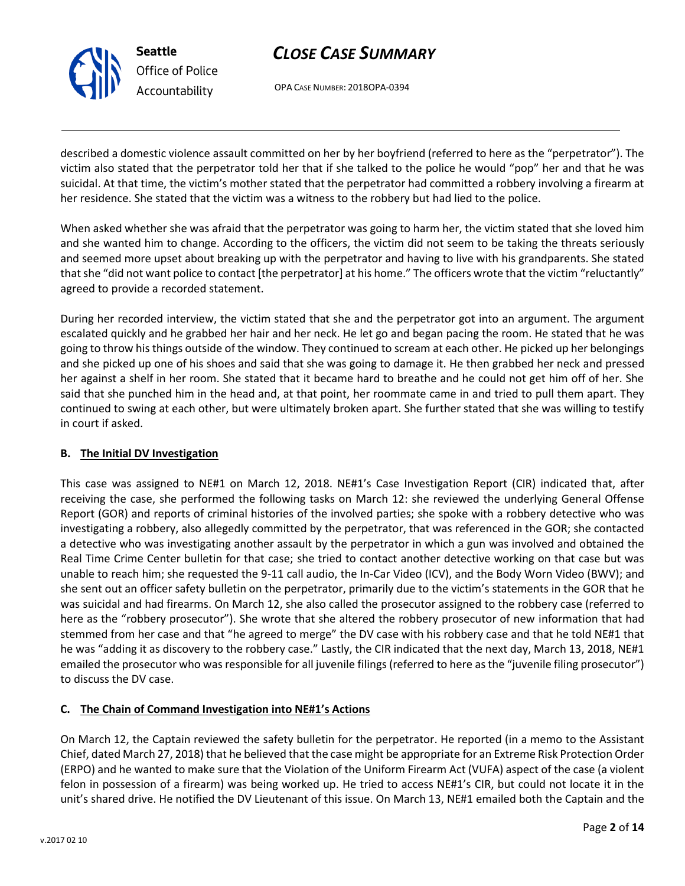

OPA CASE NUMBER: 2018OPA-0394

described a domestic violence assault committed on her by her boyfriend (referred to here as the "perpetrator"). The victim also stated that the perpetrator told her that if she talked to the police he would "pop" her and that he was suicidal. At that time, the victim's mother stated that the perpetrator had committed a robbery involving a firearm at her residence. She stated that the victim was a witness to the robbery but had lied to the police.

When asked whether she was afraid that the perpetrator was going to harm her, the victim stated that she loved him and she wanted him to change. According to the officers, the victim did not seem to be taking the threats seriously and seemed more upset about breaking up with the perpetrator and having to live with his grandparents. She stated that she "did not want police to contact [the perpetrator] at his home." The officers wrote that the victim "reluctantly" agreed to provide a recorded statement.

During her recorded interview, the victim stated that she and the perpetrator got into an argument. The argument escalated quickly and he grabbed her hair and her neck. He let go and began pacing the room. He stated that he was going to throw his things outside of the window. They continued to scream at each other. He picked up her belongings and she picked up one of his shoes and said that she was going to damage it. He then grabbed her neck and pressed her against a shelf in her room. She stated that it became hard to breathe and he could not get him off of her. She said that she punched him in the head and, at that point, her roommate came in and tried to pull them apart. They continued to swing at each other, but were ultimately broken apart. She further stated that she was willing to testify in court if asked.

## **B. The Initial DV Investigation**

This case was assigned to NE#1 on March 12, 2018. NE#1's Case Investigation Report (CIR) indicated that, after receiving the case, she performed the following tasks on March 12: she reviewed the underlying General Offense Report (GOR) and reports of criminal histories of the involved parties; she spoke with a robbery detective who was investigating a robbery, also allegedly committed by the perpetrator, that was referenced in the GOR; she contacted a detective who was investigating another assault by the perpetrator in which a gun was involved and obtained the Real Time Crime Center bulletin for that case; she tried to contact another detective working on that case but was unable to reach him; she requested the 9-11 call audio, the In-Car Video (ICV), and the Body Worn Video (BWV); and she sent out an officer safety bulletin on the perpetrator, primarily due to the victim's statements in the GOR that he was suicidal and had firearms. On March 12, she also called the prosecutor assigned to the robbery case (referred to here as the "robbery prosecutor"). She wrote that she altered the robbery prosecutor of new information that had stemmed from her case and that "he agreed to merge" the DV case with his robbery case and that he told NE#1 that he was "adding it as discovery to the robbery case." Lastly, the CIR indicated that the next day, March 13, 2018, NE#1 emailed the prosecutor who was responsible for all juvenile filings (referred to here as the "juvenile filing prosecutor") to discuss the DV case.

## **C. The Chain of Command Investigation into NE#1's Actions**

On March 12, the Captain reviewed the safety bulletin for the perpetrator. He reported (in a memo to the Assistant Chief, dated March 27, 2018) that he believed that the case might be appropriate for an Extreme Risk Protection Order (ERPO) and he wanted to make sure that the Violation of the Uniform Firearm Act (VUFA) aspect of the case (a violent felon in possession of a firearm) was being worked up. He tried to access NE#1's CIR, but could not locate it in the unit's shared drive. He notified the DV Lieutenant of this issue. On March 13, NE#1 emailed both the Captain and the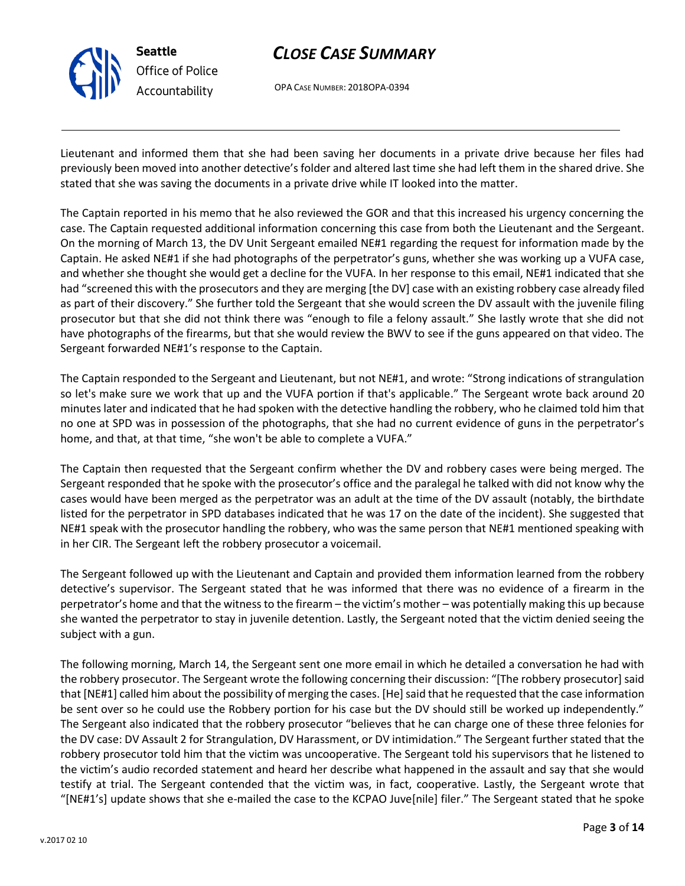

OPA CASE NUMBER: 2018OPA-0394

Lieutenant and informed them that she had been saving her documents in a private drive because her files had previously been moved into another detective's folder and altered last time she had left them in the shared drive. She stated that she was saving the documents in a private drive while IT looked into the matter.

The Captain reported in his memo that he also reviewed the GOR and that this increased his urgency concerning the case. The Captain requested additional information concerning this case from both the Lieutenant and the Sergeant. On the morning of March 13, the DV Unit Sergeant emailed NE#1 regarding the request for information made by the Captain. He asked NE#1 if she had photographs of the perpetrator's guns, whether she was working up a VUFA case, and whether she thought she would get a decline for the VUFA. In her response to this email, NE#1 indicated that she had "screened this with the prosecutors and they are merging [the DV] case with an existing robbery case already filed as part of their discovery." She further told the Sergeant that she would screen the DV assault with the juvenile filing prosecutor but that she did not think there was "enough to file a felony assault." She lastly wrote that she did not have photographs of the firearms, but that she would review the BWV to see if the guns appeared on that video. The Sergeant forwarded NE#1's response to the Captain.

The Captain responded to the Sergeant and Lieutenant, but not NE#1, and wrote: "Strong indications of strangulation so let's make sure we work that up and the VUFA portion if that's applicable." The Sergeant wrote back around 20 minutes later and indicated that he had spoken with the detective handling the robbery, who he claimed told him that no one at SPD was in possession of the photographs, that she had no current evidence of guns in the perpetrator's home, and that, at that time, "she won't be able to complete a VUFA."

The Captain then requested that the Sergeant confirm whether the DV and robbery cases were being merged. The Sergeant responded that he spoke with the prosecutor's office and the paralegal he talked with did not know why the cases would have been merged as the perpetrator was an adult at the time of the DV assault (notably, the birthdate listed for the perpetrator in SPD databases indicated that he was 17 on the date of the incident). She suggested that NE#1 speak with the prosecutor handling the robbery, who was the same person that NE#1 mentioned speaking with in her CIR. The Sergeant left the robbery prosecutor a voicemail.

The Sergeant followed up with the Lieutenant and Captain and provided them information learned from the robbery detective's supervisor. The Sergeant stated that he was informed that there was no evidence of a firearm in the perpetrator's home and that the witness to the firearm – the victim's mother – was potentially making this up because she wanted the perpetrator to stay in juvenile detention. Lastly, the Sergeant noted that the victim denied seeing the subject with a gun.

The following morning, March 14, the Sergeant sent one more email in which he detailed a conversation he had with the robbery prosecutor. The Sergeant wrote the following concerning their discussion: "[The robbery prosecutor] said that [NE#1] called him about the possibility of merging the cases. [He] said that he requested that the case information be sent over so he could use the Robbery portion for his case but the DV should still be worked up independently." The Sergeant also indicated that the robbery prosecutor "believes that he can charge one of these three felonies for the DV case: DV Assault 2 for Strangulation, DV Harassment, or DV intimidation." The Sergeant further stated that the robbery prosecutor told him that the victim was uncooperative. The Sergeant told his supervisors that he listened to the victim's audio recorded statement and heard her describe what happened in the assault and say that she would testify at trial. The Sergeant contended that the victim was, in fact, cooperative. Lastly, the Sergeant wrote that "[NE#1's] update shows that she e-mailed the case to the KCPAO Juve[nile] filer." The Sergeant stated that he spoke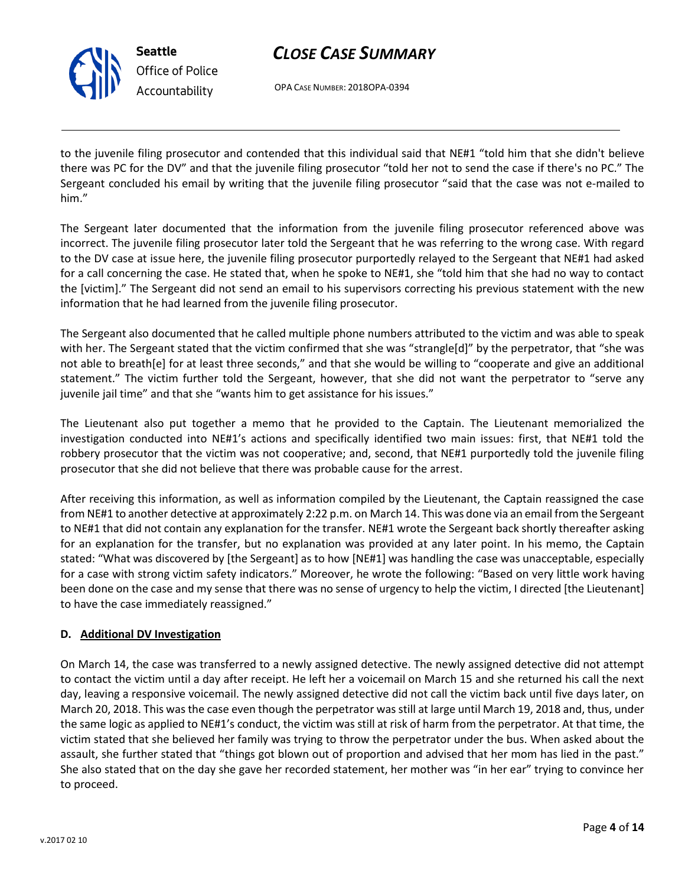

OPA CASE NUMBER: 2018OPA-0394

to the juvenile filing prosecutor and contended that this individual said that NE#1 "told him that she didn't believe there was PC for the DV" and that the juvenile filing prosecutor "told her not to send the case if there's no PC." The Sergeant concluded his email by writing that the juvenile filing prosecutor "said that the case was not e-mailed to him."

The Sergeant later documented that the information from the juvenile filing prosecutor referenced above was incorrect. The juvenile filing prosecutor later told the Sergeant that he was referring to the wrong case. With regard to the DV case at issue here, the juvenile filing prosecutor purportedly relayed to the Sergeant that NE#1 had asked for a call concerning the case. He stated that, when he spoke to NE#1, she "told him that she had no way to contact the [victim]." The Sergeant did not send an email to his supervisors correcting his previous statement with the new information that he had learned from the juvenile filing prosecutor.

The Sergeant also documented that he called multiple phone numbers attributed to the victim and was able to speak with her. The Sergeant stated that the victim confirmed that she was "strangle[d]" by the perpetrator, that "she was not able to breath[e] for at least three seconds," and that she would be willing to "cooperate and give an additional statement." The victim further told the Sergeant, however, that she did not want the perpetrator to "serve any juvenile jail time" and that she "wants him to get assistance for his issues."

The Lieutenant also put together a memo that he provided to the Captain. The Lieutenant memorialized the investigation conducted into NE#1's actions and specifically identified two main issues: first, that NE#1 told the robbery prosecutor that the victim was not cooperative; and, second, that NE#1 purportedly told the juvenile filing prosecutor that she did not believe that there was probable cause for the arrest.

After receiving this information, as well as information compiled by the Lieutenant, the Captain reassigned the case from NE#1 to another detective at approximately 2:22 p.m. on March 14. This was done via an email from the Sergeant to NE#1 that did not contain any explanation for the transfer. NE#1 wrote the Sergeant back shortly thereafter asking for an explanation for the transfer, but no explanation was provided at any later point. In his memo, the Captain stated: "What was discovered by [the Sergeant] as to how [NE#1] was handling the case was unacceptable, especially for a case with strong victim safety indicators." Moreover, he wrote the following: "Based on very little work having been done on the case and my sense that there was no sense of urgency to help the victim, I directed [the Lieutenant] to have the case immediately reassigned."

## **D. Additional DV Investigation**

On March 14, the case was transferred to a newly assigned detective. The newly assigned detective did not attempt to contact the victim until a day after receipt. He left her a voicemail on March 15 and she returned his call the next day, leaving a responsive voicemail. The newly assigned detective did not call the victim back until five days later, on March 20, 2018. This was the case even though the perpetrator was still at large until March 19, 2018 and, thus, under the same logic as applied to NE#1's conduct, the victim was still at risk of harm from the perpetrator. At that time, the victim stated that she believed her family was trying to throw the perpetrator under the bus. When asked about the assault, she further stated that "things got blown out of proportion and advised that her mom has lied in the past." She also stated that on the day she gave her recorded statement, her mother was "in her ear" trying to convince her to proceed.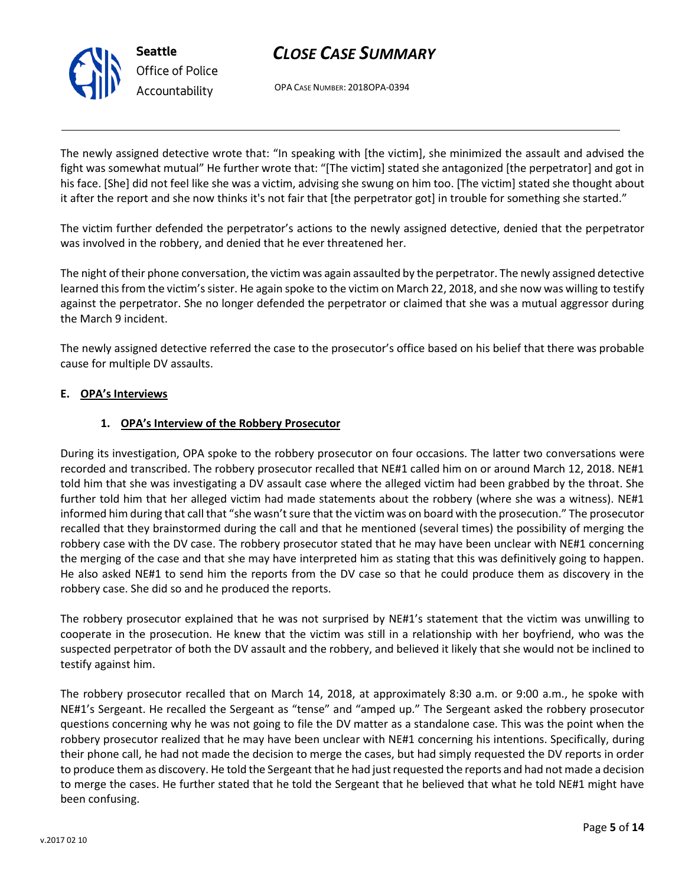



OPA CASE NUMBER: 2018OPA-0394

The newly assigned detective wrote that: "In speaking with [the victim], she minimized the assault and advised the fight was somewhat mutual" He further wrote that: "[The victim] stated she antagonized [the perpetrator] and got in his face. [She] did not feel like she was a victim, advising she swung on him too. [The victim] stated she thought about it after the report and she now thinks it's not fair that [the perpetrator got] in trouble for something she started."

The victim further defended the perpetrator's actions to the newly assigned detective, denied that the perpetrator was involved in the robbery, and denied that he ever threatened her.

The night of their phone conversation, the victim was again assaulted by the perpetrator. The newly assigned detective learned this from the victim's sister. He again spoke to the victim on March 22, 2018, and she now was willing to testify against the perpetrator. She no longer defended the perpetrator or claimed that she was a mutual aggressor during the March 9 incident.

The newly assigned detective referred the case to the prosecutor's office based on his belief that there was probable cause for multiple DV assaults.

### **E. OPA's Interviews**

### **1. OPA's Interview of the Robbery Prosecutor**

During its investigation, OPA spoke to the robbery prosecutor on four occasions. The latter two conversations were recorded and transcribed. The robbery prosecutor recalled that NE#1 called him on or around March 12, 2018. NE#1 told him that she was investigating a DV assault case where the alleged victim had been grabbed by the throat. She further told him that her alleged victim had made statements about the robbery (where she was a witness). NE#1 informed him during that call that "she wasn't sure that the victim was on board with the prosecution." The prosecutor recalled that they brainstormed during the call and that he mentioned (several times) the possibility of merging the robbery case with the DV case. The robbery prosecutor stated that he may have been unclear with NE#1 concerning the merging of the case and that she may have interpreted him as stating that this was definitively going to happen. He also asked NE#1 to send him the reports from the DV case so that he could produce them as discovery in the robbery case. She did so and he produced the reports.

The robbery prosecutor explained that he was not surprised by NE#1's statement that the victim was unwilling to cooperate in the prosecution. He knew that the victim was still in a relationship with her boyfriend, who was the suspected perpetrator of both the DV assault and the robbery, and believed it likely that she would not be inclined to testify against him.

The robbery prosecutor recalled that on March 14, 2018, at approximately 8:30 a.m. or 9:00 a.m., he spoke with NE#1's Sergeant. He recalled the Sergeant as "tense" and "amped up." The Sergeant asked the robbery prosecutor questions concerning why he was not going to file the DV matter as a standalone case. This was the point when the robbery prosecutor realized that he may have been unclear with NE#1 concerning his intentions. Specifically, during their phone call, he had not made the decision to merge the cases, but had simply requested the DV reports in order to produce them as discovery. He told the Sergeant that he had just requested the reports and had not made a decision to merge the cases. He further stated that he told the Sergeant that he believed that what he told NE#1 might have been confusing.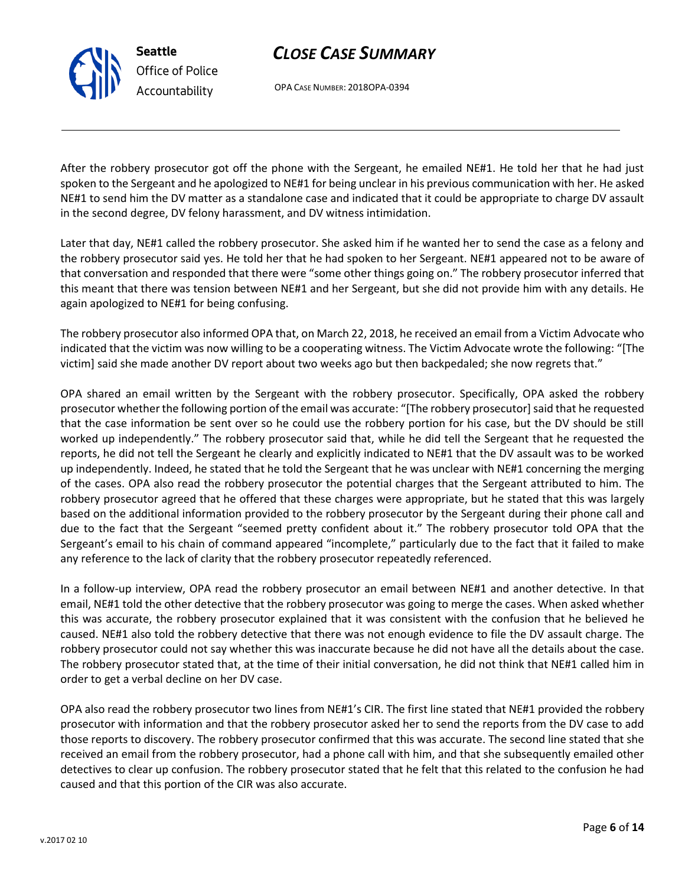OPA CASE NUMBER: 2018OPA-0394

After the robbery prosecutor got off the phone with the Sergeant, he emailed NE#1. He told her that he had just spoken to the Sergeant and he apologized to NE#1 for being unclear in his previous communication with her. He asked NE#1 to send him the DV matter as a standalone case and indicated that it could be appropriate to charge DV assault in the second degree, DV felony harassment, and DV witness intimidation.

Later that day, NE#1 called the robbery prosecutor. She asked him if he wanted her to send the case as a felony and the robbery prosecutor said yes. He told her that he had spoken to her Sergeant. NE#1 appeared not to be aware of that conversation and responded that there were "some other things going on." The robbery prosecutor inferred that this meant that there was tension between NE#1 and her Sergeant, but she did not provide him with any details. He again apologized to NE#1 for being confusing.

The robbery prosecutor also informed OPA that, on March 22, 2018, he received an email from a Victim Advocate who indicated that the victim was now willing to be a cooperating witness. The Victim Advocate wrote the following: "[The victim] said she made another DV report about two weeks ago but then backpedaled; she now regrets that."

OPA shared an email written by the Sergeant with the robbery prosecutor. Specifically, OPA asked the robbery prosecutor whether the following portion of the email was accurate: "[The robbery prosecutor] said that he requested that the case information be sent over so he could use the robbery portion for his case, but the DV should be still worked up independently." The robbery prosecutor said that, while he did tell the Sergeant that he requested the reports, he did not tell the Sergeant he clearly and explicitly indicated to NE#1 that the DV assault was to be worked up independently. Indeed, he stated that he told the Sergeant that he was unclear with NE#1 concerning the merging of the cases. OPA also read the robbery prosecutor the potential charges that the Sergeant attributed to him. The robbery prosecutor agreed that he offered that these charges were appropriate, but he stated that this was largely based on the additional information provided to the robbery prosecutor by the Sergeant during their phone call and due to the fact that the Sergeant "seemed pretty confident about it." The robbery prosecutor told OPA that the Sergeant's email to his chain of command appeared "incomplete," particularly due to the fact that it failed to make any reference to the lack of clarity that the robbery prosecutor repeatedly referenced.

In a follow-up interview, OPA read the robbery prosecutor an email between NE#1 and another detective. In that email, NE#1 told the other detective that the robbery prosecutor was going to merge the cases. When asked whether this was accurate, the robbery prosecutor explained that it was consistent with the confusion that he believed he caused. NE#1 also told the robbery detective that there was not enough evidence to file the DV assault charge. The robbery prosecutor could not say whether this was inaccurate because he did not have all the details about the case. The robbery prosecutor stated that, at the time of their initial conversation, he did not think that NE#1 called him in order to get a verbal decline on her DV case.

OPA also read the robbery prosecutor two lines from NE#1's CIR. The first line stated that NE#1 provided the robbery prosecutor with information and that the robbery prosecutor asked her to send the reports from the DV case to add those reports to discovery. The robbery prosecutor confirmed that this was accurate. The second line stated that she received an email from the robbery prosecutor, had a phone call with him, and that she subsequently emailed other detectives to clear up confusion. The robbery prosecutor stated that he felt that this related to the confusion he had caused and that this portion of the CIR was also accurate.



**Seattle**

*Office of Police Accountability*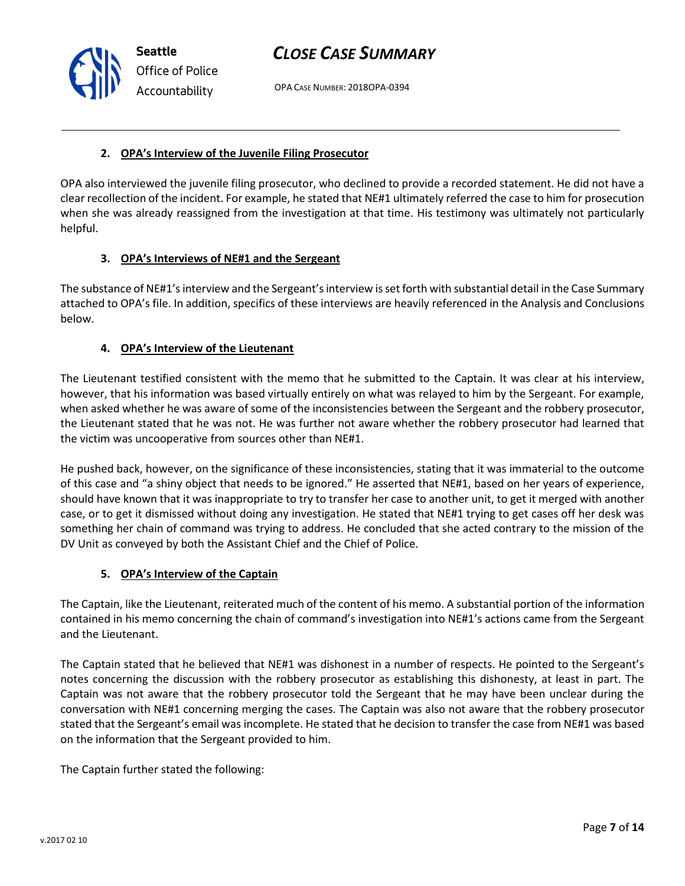OPA CASE NUMBER: 2018OPA-0394

#### **2. OPA's Interview of the Juvenile Filing Prosecutor**

OPA also interviewed the juvenile filing prosecutor, who declined to provide a recorded statement. He did not have a clear recollection of the incident. For example, he stated that NE#1 ultimately referred the case to him for prosecution when she was already reassigned from the investigation at that time. His testimony was ultimately not particularly helpful.

#### **3. OPA's Interviews of NE#1 and the Sergeant**

The substance of NE#1's interview and the Sergeant's interview is set forth with substantial detail in the Case Summary attached to OPA's file. In addition, specifics of these interviews are heavily referenced in the Analysis and Conclusions below.

#### **4. OPA's Interview of the Lieutenant**

The Lieutenant testified consistent with the memo that he submitted to the Captain. It was clear at his interview, however, that his information was based virtually entirely on what was relayed to him by the Sergeant. For example, when asked whether he was aware of some of the inconsistencies between the Sergeant and the robbery prosecutor, the Lieutenant stated that he was not. He was further not aware whether the robbery prosecutor had learned that the victim was uncooperative from sources other than NE#1.

He pushed back, however, on the significance of these inconsistencies, stating that it was immaterial to the outcome of this case and "a shiny object that needs to be ignored." He asserted that NE#1, based on her years of experience, should have known that it was inappropriate to try to transfer her case to another unit, to get it merged with another case, or to get it dismissed without doing any investigation. He stated that NE#1 trying to get cases off her desk was something her chain of command was trying to address. He concluded that she acted contrary to the mission of the DV Unit as conveyed by both the Assistant Chief and the Chief of Police.

#### **5. OPA's Interview of the Captain**

The Captain, like the Lieutenant, reiterated much of the content of his memo. A substantial portion of the information contained in his memo concerning the chain of command's investigation into NE#1's actions came from the Sergeant and the Lieutenant.

The Captain stated that he believed that NE#1 was dishonest in a number of respects. He pointed to the Sergeant's notes concerning the discussion with the robbery prosecutor as establishing this dishonesty, at least in part. The Captain was not aware that the robbery prosecutor told the Sergeant that he may have been unclear during the conversation with NE#1 concerning merging the cases. The Captain was also not aware that the robbery prosecutor stated that the Sergeant's email was incomplete. He stated that he decision to transfer the case from NE#1 was based on the information that the Sergeant provided to him.

Page **7** of **14**

The Captain further stated the following:

**Seattle** *Office of Police Accountability*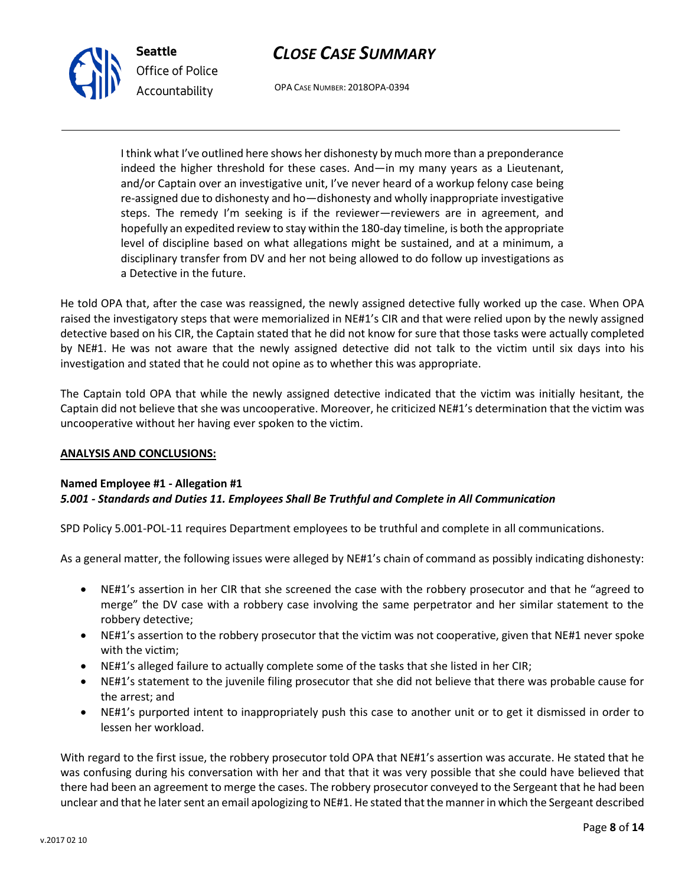

*Office of Police Accountability*

OPA CASE NUMBER: 2018OPA-0394

I think what I've outlined here shows her dishonesty by much more than a preponderance indeed the higher threshold for these cases. And—in my many years as a Lieutenant, and/or Captain over an investigative unit, I've never heard of a workup felony case being re-assigned due to dishonesty and ho—dishonesty and wholly inappropriate investigative steps. The remedy I'm seeking is if the reviewer—reviewers are in agreement, and hopefully an expedited review to stay within the 180-day timeline, is both the appropriate level of discipline based on what allegations might be sustained, and at a minimum, a disciplinary transfer from DV and her not being allowed to do follow up investigations as a Detective in the future.

He told OPA that, after the case was reassigned, the newly assigned detective fully worked up the case. When OPA raised the investigatory steps that were memorialized in NE#1's CIR and that were relied upon by the newly assigned detective based on his CIR, the Captain stated that he did not know for sure that those tasks were actually completed by NE#1. He was not aware that the newly assigned detective did not talk to the victim until six days into his investigation and stated that he could not opine as to whether this was appropriate.

The Captain told OPA that while the newly assigned detective indicated that the victim was initially hesitant, the Captain did not believe that she was uncooperative. Moreover, he criticized NE#1's determination that the victim was uncooperative without her having ever spoken to the victim.

## **ANALYSIS AND CONCLUSIONS:**

## **Named Employee #1 - Allegation #1**

## *5.001 - Standards and Duties 11. Employees Shall Be Truthful and Complete in All Communication*

SPD Policy 5.001-POL-11 requires Department employees to be truthful and complete in all communications.

As a general matter, the following issues were alleged by NE#1's chain of command as possibly indicating dishonesty:

- NE#1's assertion in her CIR that she screened the case with the robbery prosecutor and that he "agreed to merge" the DV case with a robbery case involving the same perpetrator and her similar statement to the robbery detective;
- NE#1's assertion to the robbery prosecutor that the victim was not cooperative, given that NE#1 never spoke with the victim;
- NE#1's alleged failure to actually complete some of the tasks that she listed in her CIR;
- NE#1's statement to the juvenile filing prosecutor that she did not believe that there was probable cause for the arrest; and
- NE#1's purported intent to inappropriately push this case to another unit or to get it dismissed in order to lessen her workload.

With regard to the first issue, the robbery prosecutor told OPA that NE#1's assertion was accurate. He stated that he was confusing during his conversation with her and that that it was very possible that she could have believed that there had been an agreement to merge the cases. The robbery prosecutor conveyed to the Sergeant that he had been unclear and that he later sent an email apologizing to NE#1. He stated that the manner in which the Sergeant described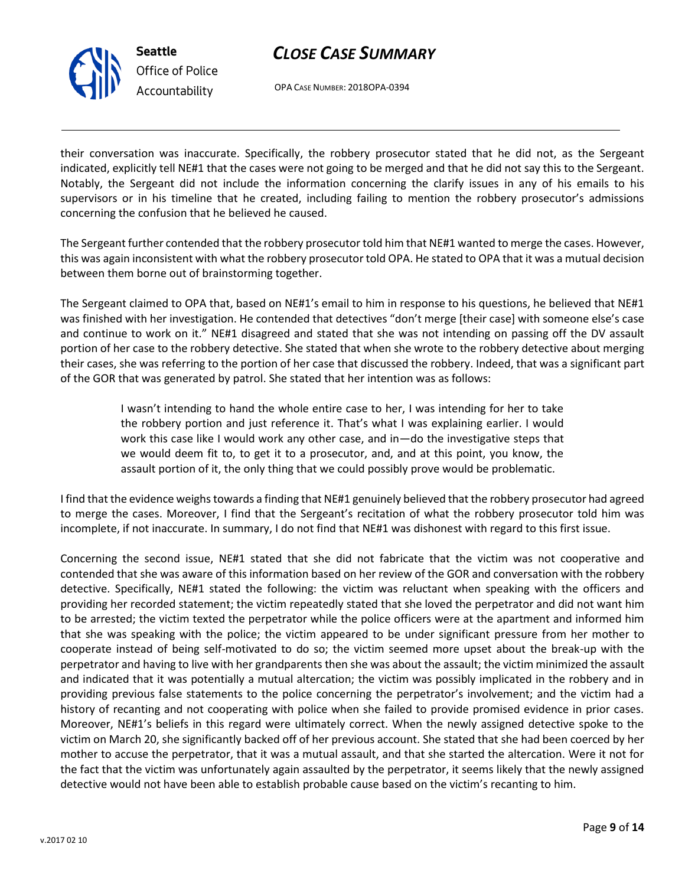

*Office of Police Accountability*

OPA CASE NUMBER: 2018OPA-0394

their conversation was inaccurate. Specifically, the robbery prosecutor stated that he did not, as the Sergeant indicated, explicitly tell NE#1 that the cases were not going to be merged and that he did not say this to the Sergeant. Notably, the Sergeant did not include the information concerning the clarify issues in any of his emails to his supervisors or in his timeline that he created, including failing to mention the robbery prosecutor's admissions concerning the confusion that he believed he caused.

The Sergeant further contended that the robbery prosecutor told him that NE#1 wanted to merge the cases. However, this was again inconsistent with what the robbery prosecutor told OPA. He stated to OPA that it was a mutual decision between them borne out of brainstorming together.

The Sergeant claimed to OPA that, based on NE#1's email to him in response to his questions, he believed that NE#1 was finished with her investigation. He contended that detectives "don't merge [their case] with someone else's case and continue to work on it." NE#1 disagreed and stated that she was not intending on passing off the DV assault portion of her case to the robbery detective. She stated that when she wrote to the robbery detective about merging their cases, she was referring to the portion of her case that discussed the robbery. Indeed, that was a significant part of the GOR that was generated by patrol. She stated that her intention was as follows:

> I wasn't intending to hand the whole entire case to her, I was intending for her to take the robbery portion and just reference it. That's what I was explaining earlier. I would work this case like I would work any other case, and in—do the investigative steps that we would deem fit to, to get it to a prosecutor, and, and at this point, you know, the assault portion of it, the only thing that we could possibly prove would be problematic.

I find that the evidence weighs towards a finding that NE#1 genuinely believed that the robbery prosecutor had agreed to merge the cases. Moreover, I find that the Sergeant's recitation of what the robbery prosecutor told him was incomplete, if not inaccurate. In summary, I do not find that NE#1 was dishonest with regard to this first issue.

Concerning the second issue, NE#1 stated that she did not fabricate that the victim was not cooperative and contended that she was aware of this information based on her review of the GOR and conversation with the robbery detective. Specifically, NE#1 stated the following: the victim was reluctant when speaking with the officers and providing her recorded statement; the victim repeatedly stated that she loved the perpetrator and did not want him to be arrested; the victim texted the perpetrator while the police officers were at the apartment and informed him that she was speaking with the police; the victim appeared to be under significant pressure from her mother to cooperate instead of being self-motivated to do so; the victim seemed more upset about the break-up with the perpetrator and having to live with her grandparents then she was about the assault; the victim minimized the assault and indicated that it was potentially a mutual altercation; the victim was possibly implicated in the robbery and in providing previous false statements to the police concerning the perpetrator's involvement; and the victim had a history of recanting and not cooperating with police when she failed to provide promised evidence in prior cases. Moreover, NE#1's beliefs in this regard were ultimately correct. When the newly assigned detective spoke to the victim on March 20, she significantly backed off of her previous account. She stated that she had been coerced by her mother to accuse the perpetrator, that it was a mutual assault, and that she started the altercation. Were it not for the fact that the victim was unfortunately again assaulted by the perpetrator, it seems likely that the newly assigned detective would not have been able to establish probable cause based on the victim's recanting to him.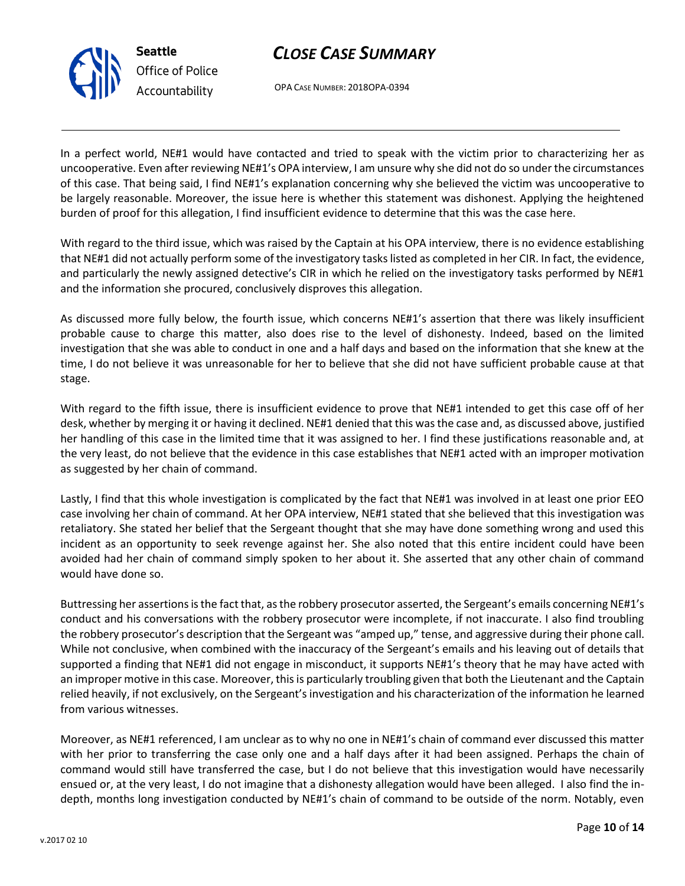

OPA CASE NUMBER: 2018OPA-0394

In a perfect world, NE#1 would have contacted and tried to speak with the victim prior to characterizing her as uncooperative. Even after reviewing NE#1's OPA interview, I am unsure why she did not do so under the circumstances of this case. That being said, I find NE#1's explanation concerning why she believed the victim was uncooperative to be largely reasonable. Moreover, the issue here is whether this statement was dishonest. Applying the heightened burden of proof for this allegation, I find insufficient evidence to determine that this was the case here.

With regard to the third issue, which was raised by the Captain at his OPA interview, there is no evidence establishing that NE#1 did not actually perform some of the investigatory tasks listed as completed in her CIR. In fact, the evidence, and particularly the newly assigned detective's CIR in which he relied on the investigatory tasks performed by NE#1 and the information she procured, conclusively disproves this allegation.

As discussed more fully below, the fourth issue, which concerns NE#1's assertion that there was likely insufficient probable cause to charge this matter, also does rise to the level of dishonesty. Indeed, based on the limited investigation that she was able to conduct in one and a half days and based on the information that she knew at the time, I do not believe it was unreasonable for her to believe that she did not have sufficient probable cause at that stage.

With regard to the fifth issue, there is insufficient evidence to prove that NE#1 intended to get this case off of her desk, whether by merging it or having it declined. NE#1 denied that this was the case and, as discussed above, justified her handling of this case in the limited time that it was assigned to her. I find these justifications reasonable and, at the very least, do not believe that the evidence in this case establishes that NE#1 acted with an improper motivation as suggested by her chain of command.

Lastly, I find that this whole investigation is complicated by the fact that NE#1 was involved in at least one prior EEO case involving her chain of command. At her OPA interview, NE#1 stated that she believed that this investigation was retaliatory. She stated her belief that the Sergeant thought that she may have done something wrong and used this incident as an opportunity to seek revenge against her. She also noted that this entire incident could have been avoided had her chain of command simply spoken to her about it. She asserted that any other chain of command would have done so.

Buttressing her assertions is the fact that, as the robbery prosecutor asserted, the Sergeant's emails concerning NE#1's conduct and his conversations with the robbery prosecutor were incomplete, if not inaccurate. I also find troubling the robbery prosecutor's description that the Sergeant was "amped up," tense, and aggressive during their phone call. While not conclusive, when combined with the inaccuracy of the Sergeant's emails and his leaving out of details that supported a finding that NE#1 did not engage in misconduct, it supports NE#1's theory that he may have acted with an improper motive in this case. Moreover, this is particularly troubling given that both the Lieutenant and the Captain relied heavily, if not exclusively, on the Sergeant's investigation and his characterization of the information he learned from various witnesses.

Moreover, as NE#1 referenced, I am unclear as to why no one in NE#1's chain of command ever discussed this matter with her prior to transferring the case only one and a half days after it had been assigned. Perhaps the chain of command would still have transferred the case, but I do not believe that this investigation would have necessarily ensued or, at the very least, I do not imagine that a dishonesty allegation would have been alleged. I also find the indepth, months long investigation conducted by NE#1's chain of command to be outside of the norm. Notably, even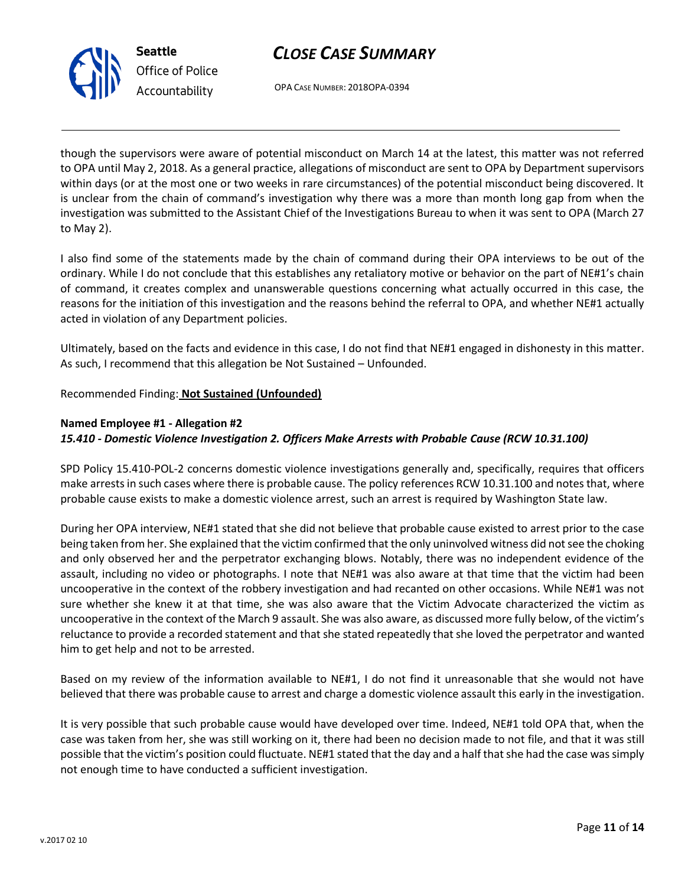



OPA CASE NUMBER: 2018OPA-0394

though the supervisors were aware of potential misconduct on March 14 at the latest, this matter was not referred to OPA until May 2, 2018. As a general practice, allegations of misconduct are sent to OPA by Department supervisors within days (or at the most one or two weeks in rare circumstances) of the potential misconduct being discovered. It is unclear from the chain of command's investigation why there was a more than month long gap from when the investigation was submitted to the Assistant Chief of the Investigations Bureau to when it was sent to OPA (March 27 to May 2).

I also find some of the statements made by the chain of command during their OPA interviews to be out of the ordinary. While I do not conclude that this establishes any retaliatory motive or behavior on the part of NE#1's chain of command, it creates complex and unanswerable questions concerning what actually occurred in this case, the reasons for the initiation of this investigation and the reasons behind the referral to OPA, and whether NE#1 actually acted in violation of any Department policies.

Ultimately, based on the facts and evidence in this case, I do not find that NE#1 engaged in dishonesty in this matter. As such, I recommend that this allegation be Not Sustained – Unfounded.

Recommended Finding: **Not Sustained (Unfounded)**

### **Named Employee #1 - Allegation #2**

### *15.410 - Domestic Violence Investigation 2. Officers Make Arrests with Probable Cause (RCW 10.31.100)*

SPD Policy 15.410-POL-2 concerns domestic violence investigations generally and, specifically, requires that officers make arrests in such cases where there is probable cause. The policy references RCW 10.31.100 and notes that, where probable cause exists to make a domestic violence arrest, such an arrest is required by Washington State law.

During her OPA interview, NE#1 stated that she did not believe that probable cause existed to arrest prior to the case being taken from her. She explained that the victim confirmed that the only uninvolved witness did not see the choking and only observed her and the perpetrator exchanging blows. Notably, there was no independent evidence of the assault, including no video or photographs. I note that NE#1 was also aware at that time that the victim had been uncooperative in the context of the robbery investigation and had recanted on other occasions. While NE#1 was not sure whether she knew it at that time, she was also aware that the Victim Advocate characterized the victim as uncooperative in the context of the March 9 assault. She was also aware, as discussed more fully below, of the victim's reluctance to provide a recorded statement and that she stated repeatedly that she loved the perpetrator and wanted him to get help and not to be arrested.

Based on my review of the information available to NE#1, I do not find it unreasonable that she would not have believed that there was probable cause to arrest and charge a domestic violence assault this early in the investigation.

It is very possible that such probable cause would have developed over time. Indeed, NE#1 told OPA that, when the case was taken from her, she was still working on it, there had been no decision made to not file, and that it was still possible that the victim's position could fluctuate. NE#1 stated that the day and a half that she had the case was simply not enough time to have conducted a sufficient investigation.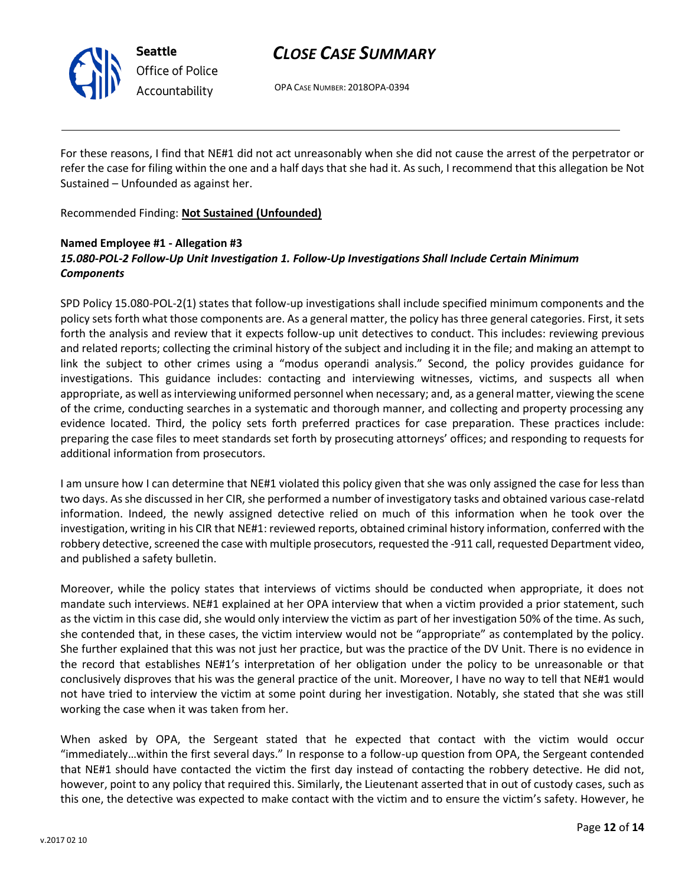

*Office of Police Accountability*

## *CLOSE CASE SUMMARY*

OPA CASE NUMBER: 2018OPA-0394

For these reasons, I find that NE#1 did not act unreasonably when she did not cause the arrest of the perpetrator or refer the case for filing within the one and a half days that she had it. As such, I recommend that this allegation be Not Sustained – Unfounded as against her.

Recommended Finding: **Not Sustained (Unfounded)**

## **Named Employee #1 - Allegation #3** *15.080-POL-2 Follow-Up Unit Investigation 1. Follow-Up Investigations Shall Include Certain Minimum Components*

SPD Policy 15.080-POL-2(1) states that follow-up investigations shall include specified minimum components and the policy sets forth what those components are. As a general matter, the policy has three general categories. First, it sets forth the analysis and review that it expects follow-up unit detectives to conduct. This includes: reviewing previous and related reports; collecting the criminal history of the subject and including it in the file; and making an attempt to link the subject to other crimes using a "modus operandi analysis." Second, the policy provides guidance for investigations. This guidance includes: contacting and interviewing witnesses, victims, and suspects all when appropriate, as well as interviewing uniformed personnel when necessary; and, as a general matter, viewing the scene of the crime, conducting searches in a systematic and thorough manner, and collecting and property processing any evidence located. Third, the policy sets forth preferred practices for case preparation. These practices include: preparing the case files to meet standards set forth by prosecuting attorneys' offices; and responding to requests for additional information from prosecutors.

I am unsure how I can determine that NE#1 violated this policy given that she was only assigned the case for less than two days. As she discussed in her CIR, she performed a number of investigatory tasks and obtained various case-relatd information. Indeed, the newly assigned detective relied on much of this information when he took over the investigation, writing in his CIR that NE#1: reviewed reports, obtained criminal history information, conferred with the robbery detective, screened the case with multiple prosecutors, requested the -911 call, requested Department video, and published a safety bulletin.

Moreover, while the policy states that interviews of victims should be conducted when appropriate, it does not mandate such interviews. NE#1 explained at her OPA interview that when a victim provided a prior statement, such as the victim in this case did, she would only interview the victim as part of her investigation 50% of the time. As such, she contended that, in these cases, the victim interview would not be "appropriate" as contemplated by the policy. She further explained that this was not just her practice, but was the practice of the DV Unit. There is no evidence in the record that establishes NE#1's interpretation of her obligation under the policy to be unreasonable or that conclusively disproves that his was the general practice of the unit. Moreover, I have no way to tell that NE#1 would not have tried to interview the victim at some point during her investigation. Notably, she stated that she was still working the case when it was taken from her.

When asked by OPA, the Sergeant stated that he expected that contact with the victim would occur "immediately…within the first several days." In response to a follow-up question from OPA, the Sergeant contended that NE#1 should have contacted the victim the first day instead of contacting the robbery detective. He did not, however, point to any policy that required this. Similarly, the Lieutenant asserted that in out of custody cases, such as this one, the detective was expected to make contact with the victim and to ensure the victim's safety. However, he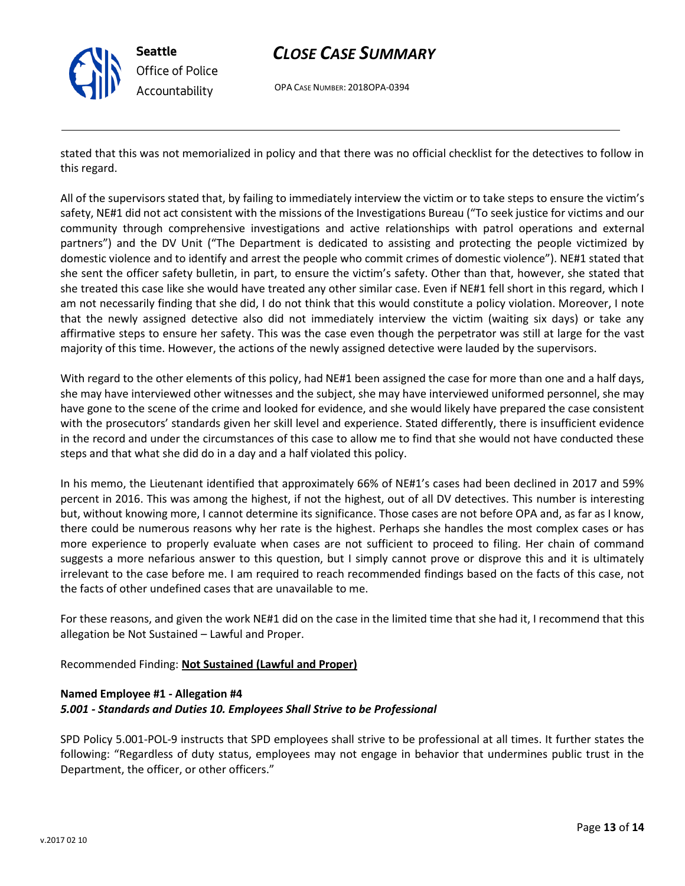

**Seattle** *Office of Police Accountability*

## *CLOSE CASE SUMMARY*

OPA CASE NUMBER: 2018OPA-0394

stated that this was not memorialized in policy and that there was no official checklist for the detectives to follow in this regard.

All of the supervisors stated that, by failing to immediately interview the victim or to take steps to ensure the victim's safety, NE#1 did not act consistent with the missions of the Investigations Bureau ("To seek justice for victims and our community through comprehensive investigations and active relationships with patrol operations and external partners") and the DV Unit ("The Department is dedicated to assisting and protecting the people victimized by domestic violence and to identify and arrest the people who commit crimes of domestic violence"). NE#1 stated that she sent the officer safety bulletin, in part, to ensure the victim's safety. Other than that, however, she stated that she treated this case like she would have treated any other similar case. Even if NE#1 fell short in this regard, which I am not necessarily finding that she did, I do not think that this would constitute a policy violation. Moreover, I note that the newly assigned detective also did not immediately interview the victim (waiting six days) or take any affirmative steps to ensure her safety. This was the case even though the perpetrator was still at large for the vast majority of this time. However, the actions of the newly assigned detective were lauded by the supervisors.

With regard to the other elements of this policy, had NE#1 been assigned the case for more than one and a half days, she may have interviewed other witnesses and the subject, she may have interviewed uniformed personnel, she may have gone to the scene of the crime and looked for evidence, and she would likely have prepared the case consistent with the prosecutors' standards given her skill level and experience. Stated differently, there is insufficient evidence in the record and under the circumstances of this case to allow me to find that she would not have conducted these steps and that what she did do in a day and a half violated this policy.

In his memo, the Lieutenant identified that approximately 66% of NE#1's cases had been declined in 2017 and 59% percent in 2016. This was among the highest, if not the highest, out of all DV detectives. This number is interesting but, without knowing more, I cannot determine its significance. Those cases are not before OPA and, as far as I know, there could be numerous reasons why her rate is the highest. Perhaps she handles the most complex cases or has more experience to properly evaluate when cases are not sufficient to proceed to filing. Her chain of command suggests a more nefarious answer to this question, but I simply cannot prove or disprove this and it is ultimately irrelevant to the case before me. I am required to reach recommended findings based on the facts of this case, not the facts of other undefined cases that are unavailable to me.

For these reasons, and given the work NE#1 did on the case in the limited time that she had it, I recommend that this allegation be Not Sustained – Lawful and Proper.

Recommended Finding: **Not Sustained (Lawful and Proper)**

#### **Named Employee #1 - Allegation #4**

#### *5.001 - Standards and Duties 10. Employees Shall Strive to be Professional*

SPD Policy 5.001-POL-9 instructs that SPD employees shall strive to be professional at all times. It further states the following: "Regardless of duty status, employees may not engage in behavior that undermines public trust in the Department, the officer, or other officers."